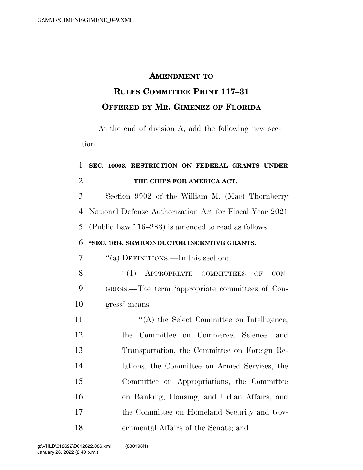#### **AMENDMENT TO**

# **RULES COMMITTEE PRINT 117–31 OFFERED BY MR. GIMENEZ OF FLORIDA**

At the end of division A, add the following new section:

## **SEC. 10003. RESTRICTION ON FEDERAL GRANTS UNDER THE CHIPS FOR AMERICA ACT.**

 Section 9902 of the William M. (Mac) Thornberry National Defense Authorization Act for Fiscal Year 2021 (Public Law 116–283) is amended to read as follows:

### **''SEC. 1094. SEMICONDUCTOR INCENTIVE GRANTS.**

''(a) DEFINITIONS.—In this section:

8 "(1) APPROPRIATE COMMITTEES OF CON- GRESS.—The term 'appropriate committees of Con-gress' means—

11 ''(A) the Select Committee on Intelligence, the Committee on Commerce, Science, and Transportation, the Committee on Foreign Re- lations, the Committee on Armed Services, the Committee on Appropriations, the Committee on Banking, Housing, and Urban Affairs, and the Committee on Homeland Security and Gov-ernmental Affairs of the Senate; and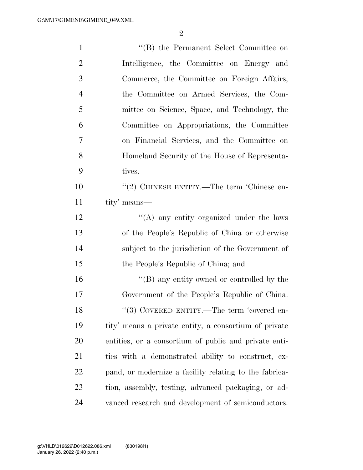| $\mathbf{1}$   | "(B) the Permanent Select Committee on                 |
|----------------|--------------------------------------------------------|
| $\overline{2}$ | Intelligence, the Committee on Energy and              |
| 3              | Commerce, the Committee on Foreign Affairs,            |
| $\overline{4}$ | the Committee on Armed Services, the Com-              |
| 5              | mittee on Science, Space, and Technology, the          |
| 6              | Committee on Appropriations, the Committee             |
| 7              | on Financial Services, and the Committee on            |
| 8              | Homeland Security of the House of Representa-          |
| 9              | tives.                                                 |
| 10             | "(2) CHINESE ENTITY.—The term 'Chinese en-             |
| 11             | tity' means—                                           |
| 12             | "(A) any entity organized under the laws               |
| 13             | of the People's Republic of China or otherwise         |
| 14             | subject to the jurisdiction of the Government of       |
| 15             | the People's Republic of China; and                    |
| 16             | $\lq\lq (B)$ any entity owned or controlled by the     |
| 17             | Government of the People's Republic of China.          |
| 18             | "(3) COVERED ENTITY.—The term 'covered en-             |
| 19             | tity' means a private entity, a consortium of private  |
| 20             | entities, or a consortium of public and private enti-  |
| 21             | ties with a demonstrated ability to construct, ex-     |
| 22             | pand, or modernize a facility relating to the fabrica- |
| 23             | tion, assembly, testing, advanced packaging, or ad-    |
| 24             | vanced research and development of semiconductors.     |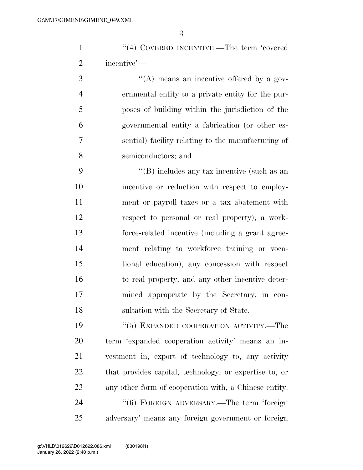1 ''(4) COVERED INCENTIVE.—The term 'covered incentive'—

 $\frac{4}{(A)}$  means an incentive offered by a gov- ernmental entity to a private entity for the pur- poses of building within the jurisdiction of the governmental entity a fabrication (or other es- sential) facility relating to the manufacturing of semiconductors; and

 ''(B) includes any tax incentive (such as an incentive or reduction with respect to employ- ment or payroll taxes or a tax abatement with respect to personal or real property), a work- force-related incentive (including a grant agree- ment relating to workforce training or voca- tional education), any concession with respect to real property, and any other incentive deter- mined appropriate by the Secretary, in con-sultation with the Secretary of State.

 ''(5) EXPANDED COOPERATION ACTIVITY.—The term 'expanded cooperation activity' means an in- vestment in, export of technology to, any activity that provides capital, technology, or expertise to, or any other form of cooperation with, a Chinese entity. 24 "(6) FOREIGN ADVERSARY.—The term 'foreign adversary' means any foreign government or foreign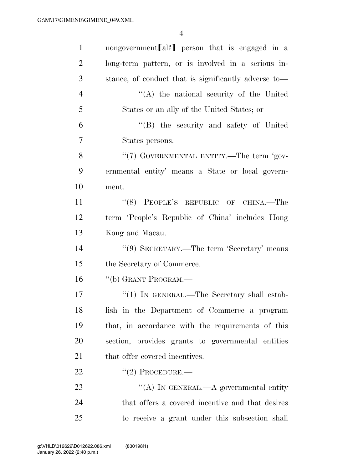| $\mathbf{1}$   | nongovernment [al?] person that is engaged in a      |
|----------------|------------------------------------------------------|
| $\overline{2}$ | long-term pattern, or is involved in a serious in-   |
| 3              | stance, of conduct that is significantly adverse to— |
| $\overline{4}$ | $\lq\lq$ the national security of the United         |
| 5              | States or an ally of the United States; or           |
| 6              | "(B) the security and safety of United               |
| $\overline{7}$ | States persons.                                      |
| 8              | "(7) GOVERNMENTAL ENTITY.—The term 'gov-             |
| 9              | ernmental entity' means a State or local govern-     |
| 10             | ment.                                                |
| 11             | "(8) PEOPLE'S REPUBLIC OF CHINA.—The                 |
| 12             | term 'People's Republic of China' includes Hong      |
| 13             | Kong and Macau.                                      |
| 14             | "(9) SECRETARY.—The term 'Secretary' means           |
| 15             | the Secretary of Commerce.                           |
| 16             | "(b) GRANT PROGRAM.—                                 |
| 17             | " $(1)$ In GENERAL.—The Secretary shall estab-       |
| 18             | lish in the Department of Commerce a program         |
| 19             | that, in accordance with the requirements of this    |
| 20             | section, provides grants to governmental entities    |
| 21             | that offer covered incentives.                       |
| 22             | $"(2)$ PROCEDURE.—                                   |
| 23             | "(A) IN GENERAL.—A governmental entity               |
| 24             | that offers a covered incentive and that desires     |
| 25             | to receive a grant under this subsection shall       |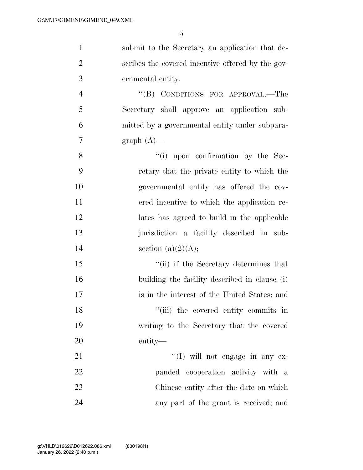| $\mathbf{1}$   | submit to the Secretary an application that de-   |
|----------------|---------------------------------------------------|
| $\overline{2}$ | scribes the covered incentive offered by the gov- |
| 3              | ernmental entity.                                 |
| $\overline{4}$ | "(B) CONDITIONS FOR APPROVAL.—The                 |
| 5              | Secretary shall approve an application sub-       |
| 6              | mitted by a governmental entity under subpara-    |
| $\overline{7}$ | $graph(A)$ —                                      |
| 8              | $\lq\lq$ (i) upon confirmation by the Sec-        |
| 9              | retary that the private entity to which the       |
| 10             | governmental entity has offered the cov-          |
| 11             | ered incentive to which the application re-       |
| 12             | lates has agreed to build in the applicable       |
| 13             | jurisdiction a facility described in sub-         |
| 14             | section (a) $(2)(A);$                             |
| 15             | "(ii) if the Secretary determines that            |
| 16             | building the facility described in clause (i)     |
| 17             | is in the interest of the United States; and      |
| 18             | "(iii) the covered entity commits in              |
| 19             | writing to the Secretary that the covered         |
| 20             | entity—                                           |
| 21             | $\lq\lq$ (I) will not engage in any ex-           |
| 22             | panded cooperation activity with a                |
| 23             | Chinese entity after the date on which            |
| 24             | any part of the grant is received; and            |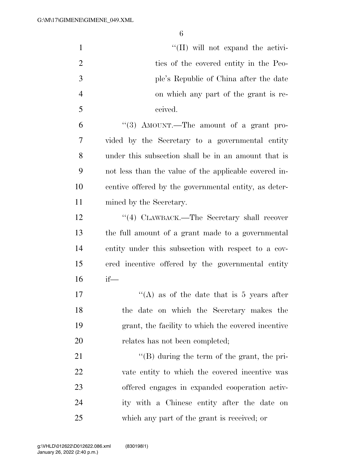| $\mathbf{1}$   | "(II) will not expand the activi-                     |
|----------------|-------------------------------------------------------|
| $\overline{2}$ | ties of the covered entity in the Peo-                |
| 3              | ple's Republic of China after the date                |
| $\overline{4}$ | on which any part of the grant is re-                 |
| 5              | ceived.                                               |
| 6              | "(3) AMOUNT.—The amount of a grant pro-               |
| 7              | vided by the Secretary to a governmental entity       |
| 8              | under this subsection shall be in an amount that is   |
| 9              | not less than the value of the applicable covered in- |
| 10             | centive offered by the governmental entity, as deter- |
| 11             | mined by the Secretary.                               |
| 12             | "(4) CLAWBACK.—The Secretary shall recover            |
| 13             | the full amount of a grant made to a governmental     |
| 14             | entity under this subsection with respect to a cov-   |
| 15             | ered incentive offered by the governmental entity     |
| 16             | $if$ —                                                |
| 17             | "(A) as of the date that is 5 years after             |
| 18             | the date on which the Secretary makes the             |
| 19             | grant, the facility to which the covered incentive    |
| 20             | relates has not been completed;                       |
| 21             | $\lq\lq (B)$ during the term of the grant, the pri-   |
| 22             | vate entity to which the covered incentive was        |
| 23             | offered engages in expanded cooperation activ-        |
| 24             | ity with a Chinese entity after the date on           |
| 25             | which any part of the grant is received; or           |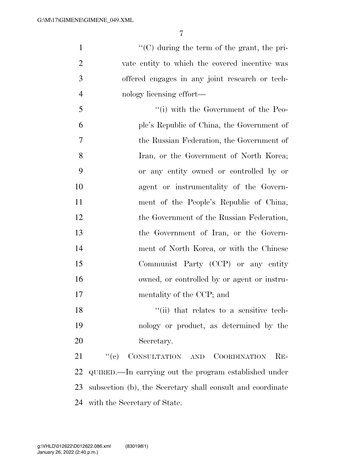$"({\rm C})$  during the term of the grant, the pri- vate entity to which the covered incentive was offered engages in any joint research or tech-nology licensing effort—

5 ''(i) with the Government of the Peo- ple's Republic of China, the Government of the Russian Federation, the Government of Iran, or the Government of North Korea; or any entity owned or controlled by or agent or instrumentality of the Govern- ment of the People's Republic of China, 12 the Government of the Russian Federation, the Government of Iran, or the Govern- ment of North Korea, or with the Chinese Communist Party (CCP) or any entity owned, or controlled by or agent or instru-mentality of the CCP; and

18 ''(ii) that relates to a sensitive tech- nology or product, as determined by the Secretary.

 ''(c) CONSULTATION AND COORDINATION RE- QUIRED.—In carrying out the program established under subsection (b), the Secretary shall consult and coordinate with the Secretary of State.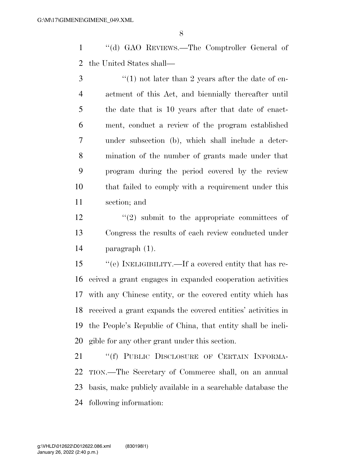''(d) GAO REVIEWS.—The Comptroller General of the United States shall—

 ''(1) not later than 2 years after the date of en- actment of this Act, and biennially thereafter until the date that is 10 years after that date of enact- ment, conduct a review of the program established under subsection (b), which shall include a deter- mination of the number of grants made under that program during the period covered by the review that failed to comply with a requirement under this section; and

 $\binom{12}{2}$  submit to the appropriate committees of Congress the results of each review conducted under paragraph (1).

 ''(e) INELIGIBILITY.—If a covered entity that has re- ceived a grant engages in expanded cooperation activities with any Chinese entity, or the covered entity which has received a grant expands the covered entities' activities in the People's Republic of China, that entity shall be ineli-gible for any other grant under this section.

21 "(f) PUBLIC DISCLOSURE OF CERTAIN INFORMA- TION.—The Secretary of Commerce shall, on an annual basis, make publicly available in a searchable database the following information: